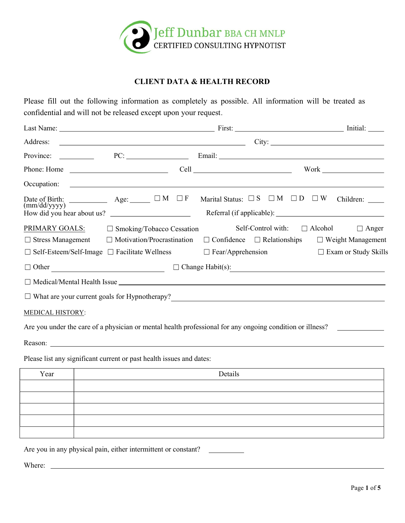

## CLIENT DATA & HEALTH RECORD

Please fill out the following information as completely as possible. All information will be treated as confidential and will not be released except upon your request.

| Address:                                                                                                            |                                   | $\overline{\phantom{a}}$ City: $\overline{\phantom{a}}$                                                             |                                        |                                                                                  |
|---------------------------------------------------------------------------------------------------------------------|-----------------------------------|---------------------------------------------------------------------------------------------------------------------|----------------------------------------|----------------------------------------------------------------------------------|
| Province:                                                                                                           |                                   |                                                                                                                     |                                        |                                                                                  |
|                                                                                                                     |                                   |                                                                                                                     |                                        |                                                                                  |
| Occupation:                                                                                                         |                                   | <u> 1989 - John Harry Harry Harry Harry Harry Harry Harry Harry Harry Harry Harry Harry Harry Harry Harry Harry</u> |                                        |                                                                                  |
| Date of Birth: $\qquad \qquad \text{Age:} \qquad \Box M \quad \Box F$<br>(mm/dd/yyyy)<br>How did you hear about us? |                                   |                                                                                                                     |                                        | Marital Status: $\square$ S $\square$ M $\square$ D $\square$ W Children: ______ |
| PRIMARY GOALS:                                                                                                      | $\Box$ Smoking/Tobacco Cessation  |                                                                                                                     | Self-Control with:                     | $\Box$ Alcohol<br>$\Box$ Anger                                                   |
| $\Box$ Stress Management                                                                                            | $\Box$ Motivation/Procrastination |                                                                                                                     | $\Box$ Confidence $\Box$ Relationships | $\Box$ Weight Management                                                         |
| $\Box$ Self-Esteem/Self-Image $\Box$ Facilitate Wellness                                                            |                                   | $\Box$ Fear/Apprehension                                                                                            |                                        | □ Exam or Study Skills                                                           |
|                                                                                                                     |                                   | $\Box$ Other $\Box$ Other $\Box$ Change Habit(s):                                                                   |                                        |                                                                                  |
|                                                                                                                     |                                   | $\Box$ Medical/Mental Health Issue $\Box$                                                                           |                                        |                                                                                  |
|                                                                                                                     |                                   | $\Box$ What are your current goals for Hypnotherapy?<br>$\Box$                                                      |                                        |                                                                                  |
| <b>MEDICAL HISTORY:</b>                                                                                             |                                   |                                                                                                                     |                                        |                                                                                  |
|                                                                                                                     |                                   | Are you under the care of a physician or mental health professional for any ongoing condition or illness?           |                                        |                                                                                  |
|                                                                                                                     |                                   | Reason:                                                                                                             |                                        |                                                                                  |
|                                                                                                                     |                                   |                                                                                                                     |                                        |                                                                                  |
| Please list any significant current or past health issues and dates:                                                |                                   |                                                                                                                     |                                        |                                                                                  |
| Year                                                                                                                |                                   | Details                                                                                                             |                                        |                                                                                  |
|                                                                                                                     |                                   |                                                                                                                     |                                        |                                                                                  |
|                                                                                                                     |                                   |                                                                                                                     |                                        |                                                                                  |
|                                                                                                                     |                                   |                                                                                                                     |                                        |                                                                                  |
|                                                                                                                     |                                   |                                                                                                                     |                                        |                                                                                  |
| Are you in any physical pain, either intermittent or constant?                                                      |                                   |                                                                                                                     |                                        |                                                                                  |
|                                                                                                                     |                                   |                                                                                                                     |                                        |                                                                                  |
| Where:                                                                                                              |                                   |                                                                                                                     |                                        |                                                                                  |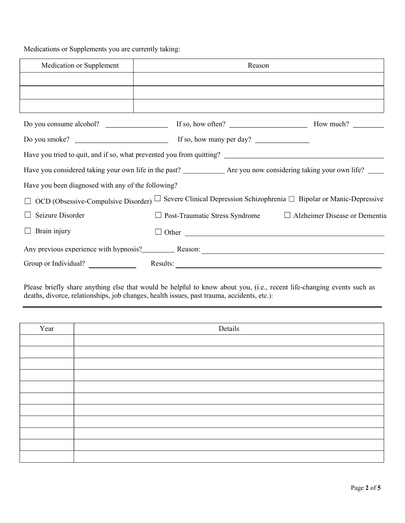## Medications or Supplements you are currently taking:

| Medication or Supplement                           | Reason                                                                                                                        |  |  |
|----------------------------------------------------|-------------------------------------------------------------------------------------------------------------------------------|--|--|
|                                                    |                                                                                                                               |  |  |
|                                                    |                                                                                                                               |  |  |
|                                                    |                                                                                                                               |  |  |
|                                                    |                                                                                                                               |  |  |
|                                                    |                                                                                                                               |  |  |
|                                                    | Have you tried to quit, and if so, what prevented you from quitting?                                                          |  |  |
|                                                    | Have you considered taking your own life in the past? ______________ Are you now considering taking your own life? _____      |  |  |
| Have you been diagnosed with any of the following? |                                                                                                                               |  |  |
|                                                    | $\Box$ OCD (Obsessive-Compulsive Disorder) $\Box$ Severe Clinical Depression Schizophrenia $\Box$ Bipolar or Manic-Depressive |  |  |
| Seizure Disorder                                   | $\Box$ Post-Traumatic Stress Syndrome $\Box$ Alzheimer Disease or Dementia                                                    |  |  |
| $\Box$ Brain injury                                | $\Box$ Other                                                                                                                  |  |  |
|                                                    | Any previous experience with hypnosis? Reason: Reason:                                                                        |  |  |
| Group or Individual?                               | Results:                                                                                                                      |  |  |

Please briefly share anything else that would be helpful to know about you, (i.e., recent life-changing events such as deaths, divorce, relationships, job changes, health issues, past trauma, accidents, etc.):

| Year | Details |  |  |  |  |
|------|---------|--|--|--|--|
|      |         |  |  |  |  |
|      |         |  |  |  |  |
|      |         |  |  |  |  |
|      |         |  |  |  |  |
|      |         |  |  |  |  |
|      |         |  |  |  |  |
|      |         |  |  |  |  |
|      |         |  |  |  |  |
|      |         |  |  |  |  |
|      |         |  |  |  |  |
|      |         |  |  |  |  |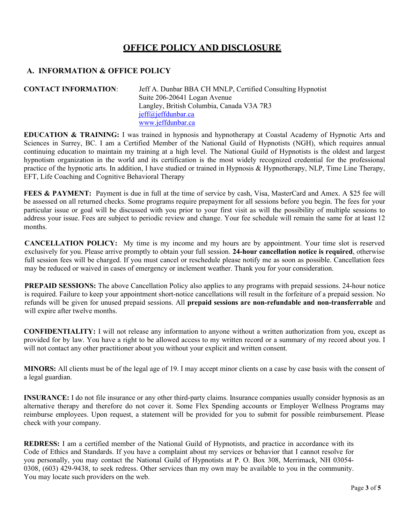# OFFICE POLICY AND DISCLOSURE

#### A. INFORMATION & OFFICE POLICY

CONTACT INFORMATION: Jeff A. Dunbar BBA CH MNLP, Certified Consulting Hypnotist Suite 206-20641 Logan Avenue Langley, British Columbia, Canada V3A 7R3 jeff@jeffdunbar.ca www.jeffdunbar.ca

EDUCATION & TRAINING: I was trained in hypnosis and hypnotherapy at Coastal Academy of Hypnotic Arts and Sciences in Surrey, BC. I am a Certified Member of the National Guild of Hypnotists (NGH), which requires annual continuing education to maintain my training at a high level. The National Guild of Hypnotists is the oldest and largest hypnotism organization in the world and its certification is the most widely recognized credential for the professional practice of the hypnotic arts. In addition, I have studied or trained in Hypnosis & Hypnotherapy, NLP, Time Line Therapy, EFT, Life Coaching and Cognitive Behavioral Therapy

FEES & PAYMENT: Payment is due in full at the time of service by cash, Visa, MasterCard and Amex. A \$25 fee will be assessed on all returned checks. Some programs require prepayment for all sessions before you begin. The fees for your particular issue or goal will be discussed with you prior to your first visit as will the possibility of multiple sessions to address your issue. Fees are subject to periodic review and change. Your fee schedule will remain the same for at least 12 months.

CANCELLATION POLICY: My time is my income and my hours are by appointment. Your time slot is reserved exclusively for you. Please arrive promptly to obtain your full session. 24-hour cancellation notice is required, otherwise full session fees will be charged. If you must cancel or reschedule please notify me as soon as possible. Cancellation fees may be reduced or waived in cases of emergency or inclement weather. Thank you for your consideration.

PREPAID SESSIONS: The above Cancellation Policy also applies to any programs with prepaid sessions. 24-hour notice is required. Failure to keep your appointment short-notice cancellations will result in the forfeiture of a prepaid session. No refunds will be given for unused prepaid sessions. All prepaid sessions are non-refundable and non-transferrable and will expire after twelve months.

CONFIDENTIALITY: I will not release any information to anyone without a written authorization from you, except as provided for by law. You have a right to be allowed access to my written record or a summary of my record about you. I will not contact any other practitioner about you without your explicit and written consent.

MINORS: All clients must be of the legal age of 19. I may accept minor clients on a case by case basis with the consent of a legal guardian.

INSURANCE: I do not file insurance or any other third-party claims. Insurance companies usually consider hypnosis as an alternative therapy and therefore do not cover it. Some Flex Spending accounts or Employer Wellness Programs may reimburse employees. Upon request, a statement will be provided for you to submit for possible reimbursement. Please check with your company.

REDRESS: I am a certified member of the National Guild of Hypnotists, and practice in accordance with its Code of Ethics and Standards. If you have a complaint about my services or behavior that I cannot resolve for you personally, you may contact the National Guild of Hypnotists at P. O. Box 308, Merrimack, NH 03054- 0308, (603) 429-9438, to seek redress. Other services than my own may be available to you in the community. You may locate such providers on the web.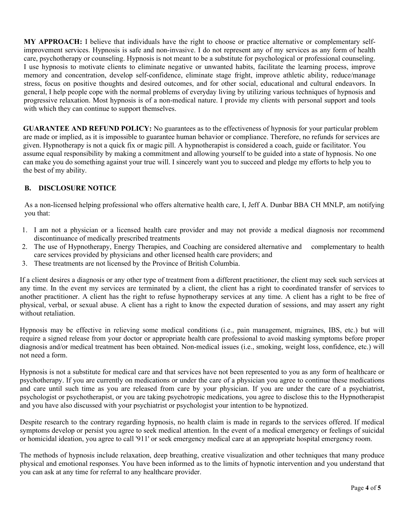MY APPROACH: I believe that individuals have the right to choose or practice alternative or complementary selfimprovement services. Hypnosis is safe and non-invasive. I do not represent any of my services as any form of health care, psychotherapy or counseling. Hypnosis is not meant to be a substitute for psychological or professional counseling. I use hypnosis to motivate clients to eliminate negative or unwanted habits, facilitate the learning process, improve memory and concentration, develop self-confidence, eliminate stage fright, improve athletic ability, reduce/manage stress, focus on positive thoughts and desired outcomes, and for other social, educational and cultural endeavors. In general, I help people cope with the normal problems of everyday living by utilizing various techniques of hypnosis and progressive relaxation. Most hypnosis is of a non-medical nature. I provide my clients with personal support and tools with which they can continue to support themselves.

GUARANTEE AND REFUND POLICY: No guarantees as to the effectiveness of hypnosis for your particular problem are made or implied, as it is impossible to guarantee human behavior or compliance. Therefore, no refunds for services are given. Hypnotherapy is not a quick fix or magic pill. A hypnotherapist is considered a coach, guide or facilitator. You assume equal responsibility by making a commitment and allowing yourself to be guided into a state of hypnosis. No one can make you do something against your true will. I sincerely want you to succeed and pledge my efforts to help you to the best of my ability.

#### B. DISCLOSURE NOTICE

As a non-licensed helping professional who offers alternative health care, I, Jeff A. Dunbar BBA CH MNLP, am notifying you that:

- 1. I am not a physician or a licensed health care provider and may not provide a medical diagnosis nor recommend discontinuance of medically prescribed treatments
- 2. The use of Hypnotherapy, Energy Therapies, and Coaching are considered alternative and complementary to health care services provided by physicians and other licensed health care providers; and
- 3. These treatments are not licensed by the Province of British Columbia.

If a client desires a diagnosis or any other type of treatment from a different practitioner, the client may seek such services at any time. In the event my services are terminated by a client, the client has a right to coordinated transfer of services to another practitioner. A client has the right to refuse hypnotherapy services at any time. A client has a right to be free of physical, verbal, or sexual abuse. A client has a right to know the expected duration of sessions, and may assert any right without retaliation.

Hypnosis may be effective in relieving some medical conditions (i.e., pain management, migraines, IBS, etc.) but will require a signed release from your doctor or appropriate health care professional to avoid masking symptoms before proper diagnosis and/or medical treatment has been obtained. Non-medical issues (i.e., smoking, weight loss, confidence, etc.) will not need a form.

Hypnosis is not a substitute for medical care and that services have not been represented to you as any form of healthcare or psychotherapy. If you are currently on medications or under the care of a physician you agree to continue these medications and care until such time as you are released from care by your physician. If you are under the care of a psychiatrist, psychologist or psychotherapist, or you are taking psychotropic medications, you agree to disclose this to the Hypnotherapist and you have also discussed with your psychiatrist or psychologist your intention to be hypnotized.

Despite research to the contrary regarding hypnosis, no health claim is made in regards to the services offered. If medical symptoms develop or persist you agree to seek medical attention. In the event of a medical emergency or feelings of suicidal or homicidal ideation, you agree to call '911' or seek emergency medical care at an appropriate hospital emergency room.

The methods of hypnosis include relaxation, deep breathing, creative visualization and other techniques that many produce physical and emotional responses. You have been informed as to the limits of hypnotic intervention and you understand that you can ask at any time for referral to any healthcare provider.